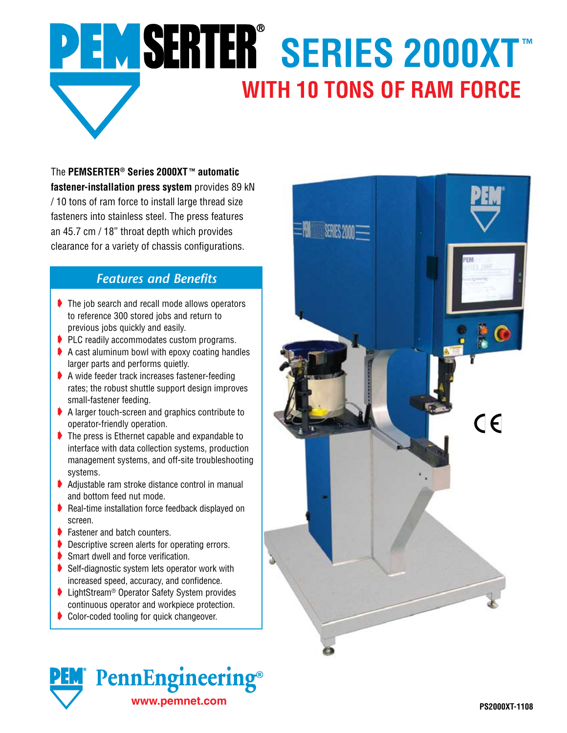## PEMSERTER® SERIES 2000XT™ **WITH 10 TONS OF RAM FORCE**

The **PEMSERTER® Series 2000XT ™ automatic fastener-installation press system** provides 89 kN / 10 tons of ram force to install large thread size fasteners into stainless steel. The press features an 45.7 cm / 18" throat depth which provides clearance for a variety of chassis configurations.

## *Features and Benefits*

- $\blacktriangleright$  The job search and recall mode allows operators to reference 300 stored jobs and return to previous jobs quickly and easily.
- $\blacktriangleright$  PLC readily accommodates custom programs.
- $\blacktriangleright$  A cast aluminum bowl with epoxy coating handles larger parts and performs quietly.
- A wide feeder track increases fastener-feeding rates; the robust shuttle support design improves small-fastener feeding.
- A larger touch-screen and graphics contribute to operator-friendly operation.
- $\blacktriangleright$  The press is Ethernet capable and expandable to interface with data collection systems, production management systems, and off-site troubleshooting systems.
- $\blacktriangleright$  Adjustable ram stroke distance control in manual and bottom feed nut mode.
- Real-time installation force feedback displayed on screen.
- ▶ Fastener and batch counters.
- ▶ Descriptive screen alerts for operating errors.
- Smart dwell and force verification.
- $\blacktriangleright$  Self-diagnostic system lets operator work with increased speed, accuracy, and confidence.
- ▶ LightStream<sup>®</sup> Operator Safety System provides continuous operator and workpiece protection.
- Color-coded tooling for quick changeover.